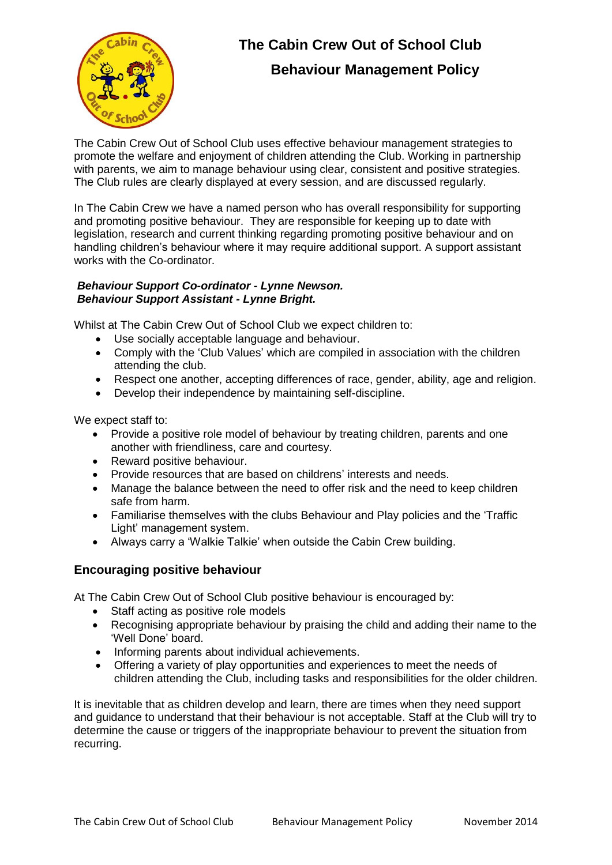

# **The Cabin Crew Out of School Club Behaviour Management Policy**

The Cabin Crew Out of School Club uses effective behaviour management strategies to promote the welfare and enjoyment of children attending the Club. Working in partnership with parents, we aim to manage behaviour using clear, consistent and positive strategies. The Club rules are clearly displayed at every session, and are discussed regularly.

In The Cabin Crew we have a named person who has overall responsibility for supporting and promoting positive behaviour. They are responsible for keeping up to date with legislation, research and current thinking regarding promoting positive behaviour and on handling children's behaviour where it may require additional support. A support assistant works with the Co-ordinator.

#### *Behaviour Support Co-ordinator - Lynne Newson. Behaviour Support Assistant - Lynne Bright.*

Whilst at The Cabin Crew Out of School Club we expect children to:

- Use socially acceptable language and behaviour.
- Comply with the 'Club Values' which are compiled in association with the children attending the club.
- Respect one another, accepting differences of race, gender, ability, age and religion.
- Develop their independence by maintaining self-discipline.

We expect staff to:

- Provide a positive role model of behaviour by treating children, parents and one another with friendliness, care and courtesy.
- Reward positive behaviour.
- Provide resources that are based on childrens' interests and needs.
- Manage the balance between the need to offer risk and the need to keep children safe from harm.
- Familiarise themselves with the clubs Behaviour and Play policies and the 'Traffic Light' management system.
- Always carry a 'Walkie Talkie' when outside the Cabin Crew building.

#### **Encouraging positive behaviour**

At The Cabin Crew Out of School Club positive behaviour is encouraged by:

- Staff acting as positive role models
- Recognising appropriate behaviour by praising the child and adding their name to the 'Well Done' board.
- Informing parents about individual achievements.
- Offering a variety of play opportunities and experiences to meet the needs of children attending the Club, including tasks and responsibilities for the older children.

It is inevitable that as children develop and learn, there are times when they need support and guidance to understand that their behaviour is not acceptable. Staff at the Club will try to determine the cause or triggers of the inappropriate behaviour to prevent the situation from recurring.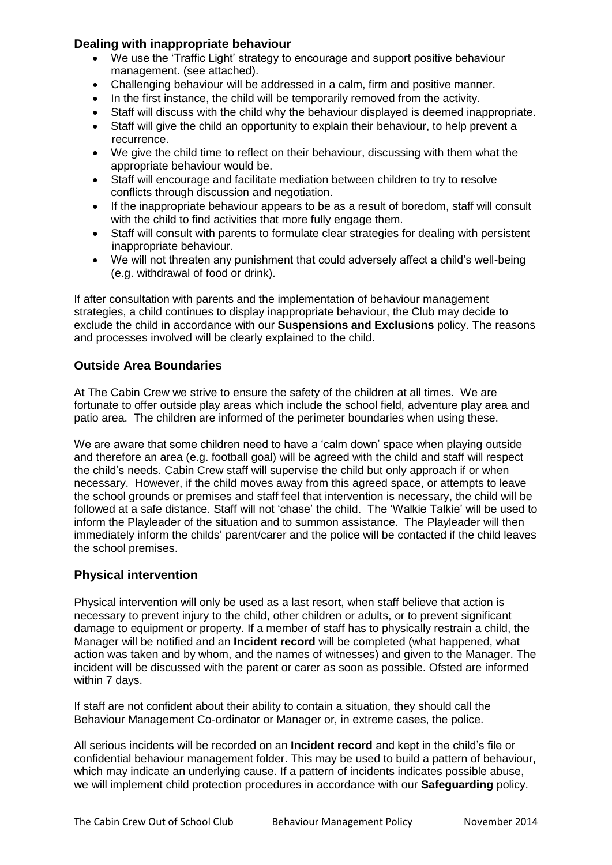#### **Dealing with inappropriate behaviour**

- We use the 'Traffic Light' strategy to encourage and support positive behaviour management. (see attached).
- Challenging behaviour will be addressed in a calm, firm and positive manner.
- In the first instance, the child will be temporarily removed from the activity.
- Staff will discuss with the child why the behaviour displayed is deemed inappropriate.
- Staff will give the child an opportunity to explain their behaviour, to help prevent a recurrence.
- We give the child time to reflect on their behaviour, discussing with them what the appropriate behaviour would be.
- Staff will encourage and facilitate mediation between children to try to resolve conflicts through discussion and negotiation.
- If the inappropriate behaviour appears to be as a result of boredom, staff will consult with the child to find activities that more fully engage them.
- Staff will consult with parents to formulate clear strategies for dealing with persistent inappropriate behaviour.
- We will not threaten any punishment that could adversely affect a child's well-being (e.g. withdrawal of food or drink).

If after consultation with parents and the implementation of behaviour management strategies, a child continues to display inappropriate behaviour, the Club may decide to exclude the child in accordance with our **Suspensions and Exclusions** policy. The reasons and processes involved will be clearly explained to the child.

#### **Outside Area Boundaries**

At The Cabin Crew we strive to ensure the safety of the children at all times. We are fortunate to offer outside play areas which include the school field, adventure play area and patio area. The children are informed of the perimeter boundaries when using these.

We are aware that some children need to have a 'calm down' space when playing outside and therefore an area (e.g. football goal) will be agreed with the child and staff will respect the child's needs. Cabin Crew staff will supervise the child but only approach if or when necessary. However, if the child moves away from this agreed space, or attempts to leave the school grounds or premises and staff feel that intervention is necessary, the child will be followed at a safe distance. Staff will not 'chase' the child. The 'Walkie Talkie' will be used to inform the Playleader of the situation and to summon assistance. The Playleader will then immediately inform the childs' parent/carer and the police will be contacted if the child leaves the school premises.

#### **Physical intervention**

Physical intervention will only be used as a last resort, when staff believe that action is necessary to prevent injury to the child, other children or adults, or to prevent significant damage to equipment or property. If a member of staff has to physically restrain a child, the Manager will be notified and an **Incident record** will be completed (what happened, what action was taken and by whom, and the names of witnesses) and given to the Manager. The incident will be discussed with the parent or carer as soon as possible. Ofsted are informed within 7 days.

If staff are not confident about their ability to contain a situation, they should call the Behaviour Management Co-ordinator or Manager or, in extreme cases, the police.

All serious incidents will be recorded on an **Incident record** and kept in the child's file or confidential behaviour management folder. This may be used to build a pattern of behaviour, which may indicate an underlying cause. If a pattern of incidents indicates possible abuse, we will implement child protection procedures in accordance with our **Safeguarding** policy.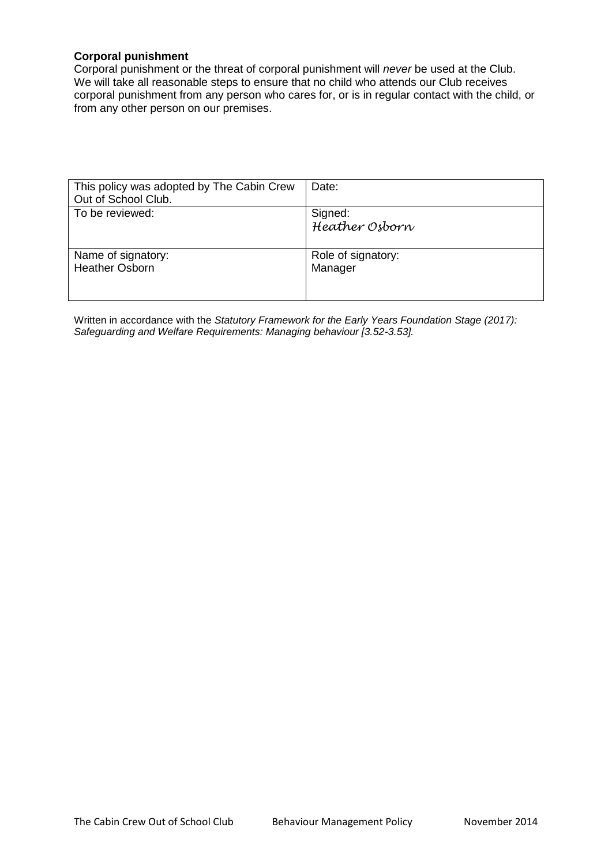#### **Corporal punishment**

Corporal punishment or the threat of corporal punishment will *never* be used at the Club. We will take all reasonable steps to ensure that no child who attends our Club receives corporal punishment from any person who cares for, or is in regular contact with the child, or from any other person on our premises.

| This policy was adopted by The Cabin Crew<br>Out of School Club. | Date:                         |
|------------------------------------------------------------------|-------------------------------|
| To be reviewed:                                                  | Signed:<br>Heather Osborn     |
| Name of signatory:<br><b>Heather Osborn</b>                      | Role of signatory:<br>Manager |

Written in accordance with the *Statutory Framework for the Early Years Foundation Stage (2017): Safeguarding and Welfare Requirements: Managing behaviour [3.52-3.53].*